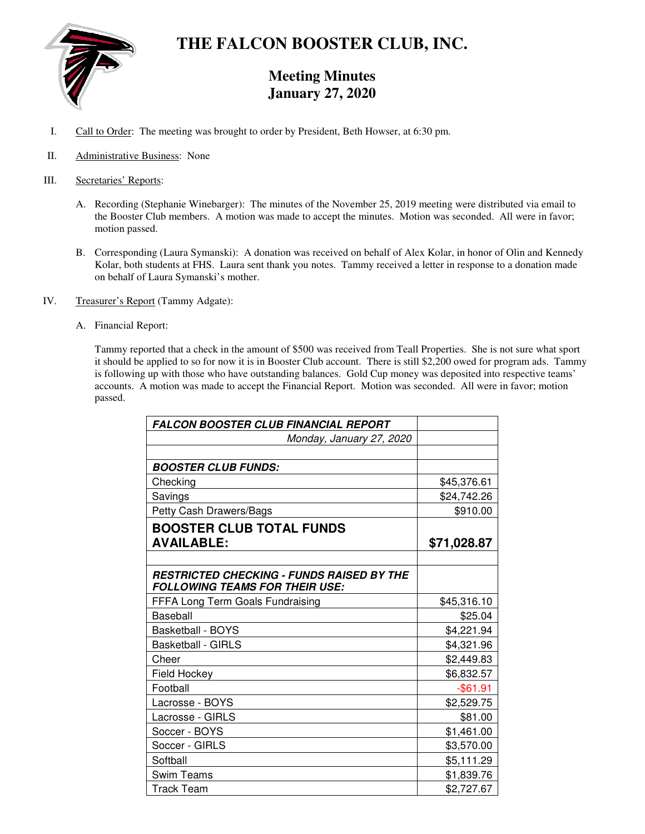

# **THE FALCON BOOSTER CLUB, INC.**

## **Meeting Minutes January 27, 2020**

- I. Call to Order: The meeting was brought to order by President, Beth Howser, at 6:30 pm.
- II. Administrative Business: None
- III. Secretaries' Reports:
	- A. Recording (Stephanie Winebarger): The minutes of the November 25, 2019 meeting were distributed via email to the Booster Club members. A motion was made to accept the minutes. Motion was seconded. All were in favor; motion passed.
	- B. Corresponding (Laura Symanski): A donation was received on behalf of Alex Kolar, in honor of Olin and Kennedy Kolar, both students at FHS. Laura sent thank you notes. Tammy received a letter in response to a donation made on behalf of Laura Symanski's mother.
- IV. Treasurer's Report (Tammy Adgate):
	- A. Financial Report:

Tammy reported that a check in the amount of \$500 was received from Teall Properties. She is not sure what sport it should be applied to so for now it is in Booster Club account. There is still \$2,200 owed for program ads. Tammy is following up with those who have outstanding balances. Gold Cup money was deposited into respective teams' accounts. A motion was made to accept the Financial Report. Motion was seconded. All were in favor; motion passed.

| <b>FALCON BOOSTER CLUB FINANCIAL REPORT</b>      |             |
|--------------------------------------------------|-------------|
| Monday, January 27, 2020                         |             |
|                                                  |             |
| <b>BOOSTER CLUB FUNDS:</b>                       |             |
| Checking                                         | \$45,376.61 |
| Savings                                          | \$24,742.26 |
| Petty Cash Drawers/Bags                          | \$910.00    |
| <b>BOOSTER CLUB TOTAL FUNDS</b>                  |             |
| <b>AVAILABLE:</b>                                | \$71,028.87 |
|                                                  |             |
| <b>RESTRICTED CHECKING - FUNDS RAISED BY THE</b> |             |
| <b>FOLLOWING TEAMS FOR THEIR USE:</b>            |             |
| FFFA Long Term Goals Fundraising                 | \$45,316.10 |
| Baseball                                         | \$25.04     |
| <b>Basketball - BOYS</b>                         | \$4,221.94  |
| <b>Basketball - GIRLS</b>                        | \$4,321.96  |
| Cheer                                            | \$2,449.83  |
| Field Hockey                                     | \$6,832.57  |
| Football                                         | $-$ \$61.91 |
| Lacrosse - BOYS                                  | \$2,529.75  |
| Lacrosse - GIRLS                                 | \$81.00     |
| Soccer - BOYS                                    | \$1,461.00  |
| Soccer - GIRLS                                   | \$3,570.00  |
| Softball                                         | \$5,111.29  |
| Swim Teams                                       | \$1,839.76  |
| <b>Track Team</b>                                | \$2,727.67  |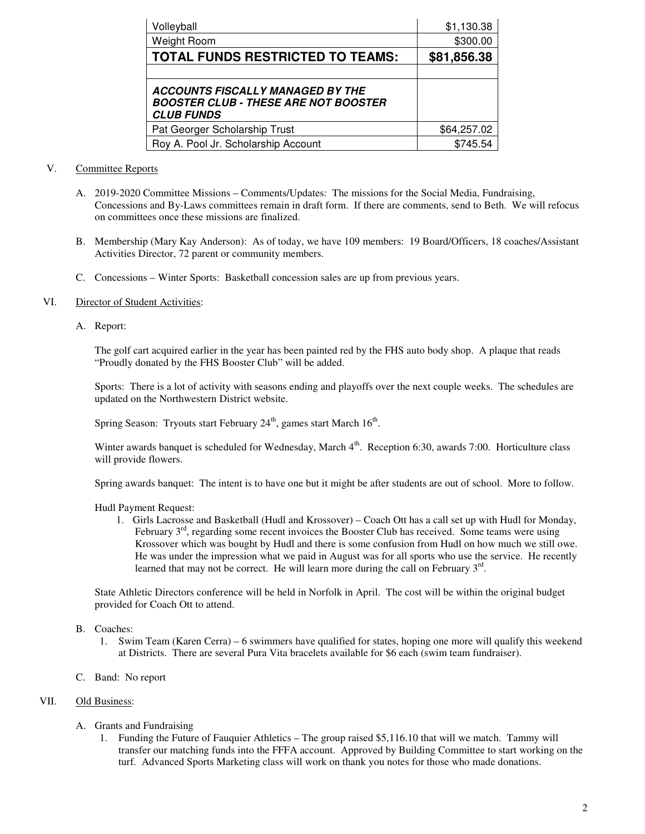| Volleyball                                                                                                  | \$1,130.38  |
|-------------------------------------------------------------------------------------------------------------|-------------|
| Weight Room                                                                                                 | \$300.00    |
| <b>TOTAL FUNDS RESTRICTED TO TEAMS:</b>                                                                     | \$81,856.38 |
|                                                                                                             |             |
| <b>ACCOUNTS FISCALLY MANAGED BY THE</b><br><b>BOOSTER CLUB - THESE ARE NOT BOOSTER</b><br><b>CLUB FUNDS</b> |             |
| Pat Georger Scholarship Trust                                                                               | \$64,257.02 |
| Roy A. Pool Jr. Scholarship Account                                                                         | \$745.54    |

#### V. Committee Reports

- A. 2019-2020 Committee Missions Comments/Updates: The missions for the Social Media, Fundraising, Concessions and By-Laws committees remain in draft form. If there are comments, send to Beth. We will refocus on committees once these missions are finalized.
- B. Membership (Mary Kay Anderson): As of today, we have 109 members: 19 Board/Officers, 18 coaches/Assistant Activities Director, 72 parent or community members.
- C. Concessions Winter Sports: Basketball concession sales are up from previous years.

#### VI. Director of Student Activities:

A. Report:

The golf cart acquired earlier in the year has been painted red by the FHS auto body shop. A plaque that reads "Proudly donated by the FHS Booster Club" will be added.

Sports: There is a lot of activity with seasons ending and playoffs over the next couple weeks. The schedules are updated on the Northwestern District website.

Spring Season: Tryouts start February  $24<sup>th</sup>$ , games start March  $16<sup>th</sup>$ .

Winter awards banquet is scheduled for Wednesday, March 4<sup>th</sup>. Reception 6:30, awards 7:00. Horticulture class will provide flowers.

Spring awards banquet: The intent is to have one but it might be after students are out of school. More to follow.

#### Hudl Payment Request:

1. Girls Lacrosse and Basketball (Hudl and Krossover) – Coach Ott has a call set up with Hudl for Monday, February  $3<sup>rd</sup>$ , regarding some recent invoices the Booster Club has received. Some teams were using Krossover which was bought by Hudl and there is some confusion from Hudl on how much we still owe. He was under the impression what we paid in August was for all sports who use the service. He recently learned that may not be correct. He will learn more during the call on February 3<sup>rd</sup>.

State Athletic Directors conference will be held in Norfolk in April. The cost will be within the original budget provided for Coach Ott to attend.

- B. Coaches:
	- 1. Swim Team (Karen Cerra) 6 swimmers have qualified for states, hoping one more will qualify this weekend at Districts. There are several Pura Vita bracelets available for \$6 each (swim team fundraiser).
- C. Band: No report

#### VII. Old Business:

- A. Grants and Fundraising
	- 1. Funding the Future of Fauquier Athletics The group raised \$5,116.10 that will we match. Tammy will transfer our matching funds into the FFFA account. Approved by Building Committee to start working on the turf. Advanced Sports Marketing class will work on thank you notes for those who made donations.